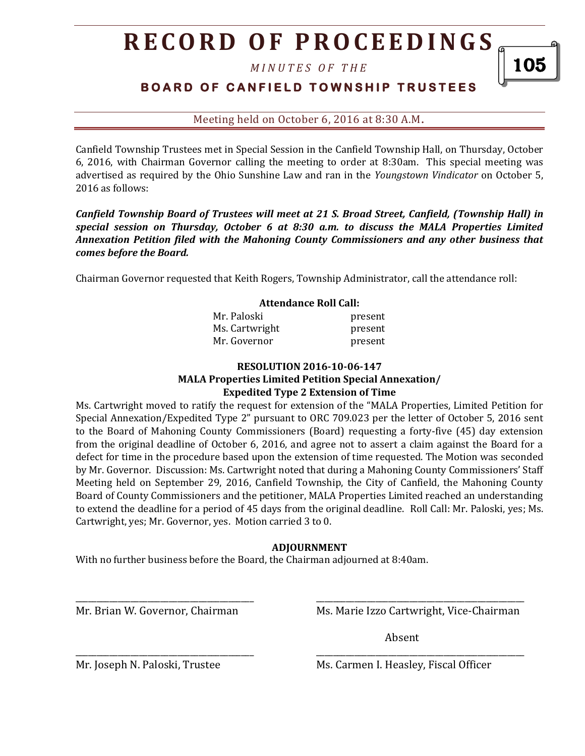# **R E C O R D O F P R O C E E D I N GS**

*M I N U T E S O F T H E* 

### **BOARD OF CANFIELD TOWNSHIP TRUSTEES**

Meeting held on October 6, 2016 at 8:30 A.M**.**

Canfield Township Trustees met in Special Session in the Canfield Township Hall, on Thursday, October 6, 2016, with Chairman Governor calling the meeting to order at 8:30am. This special meeting was advertised as required by the Ohio Sunshine Law and ran in the *Youngstown Vindicator* on October 5, 2016 as follows:

*Canfield Township Board of Trustees will meet at 21 S. Broad Street, Canfield, (Township Hall) in special session on Thursday, October 6 at 8:30 a.m. to discuss the MALA Properties Limited Annexation Petition filed with the Mahoning County Commissioners and any other business that comes before the Board.* 

Chairman Governor requested that Keith Rogers, Township Administrator, call the attendance roll:

| <b>Attendance Roll Call:</b> |         |
|------------------------------|---------|
| Mr. Paloski                  | present |
| Ms. Cartwright               | present |
| Mr. Governor                 | present |

#### **RESOLUTION 2016-10-06-147 MALA Properties Limited Petition Special Annexation/ Expedited Type 2 Extension of Time**

Ms. Cartwright moved to ratify the request for extension of the "MALA Properties, Limited Petition for Special Annexation/Expedited Type 2" pursuant to ORC 709.023 per the letter of October 5, 2016 sent to the Board of Mahoning County Commissioners (Board) requesting a forty-five (45) day extension from the original deadline of October 6, 2016, and agree not to assert a claim against the Board for a defect for time in the procedure based upon the extension of time requested. The Motion was seconded by Mr. Governor. Discussion: Ms. Cartwright noted that during a Mahoning County Commissioners' Staff Meeting held on September 29, 2016, Canfield Township, the City of Canfield, the Mahoning County Board of County Commissioners and the petitioner, MALA Properties Limited reached an understanding to extend the deadline for a period of 45 days from the original deadline. Roll Call: Mr. Paloski, yes; Ms. Cartwright, yes; Mr. Governor, yes. Motion carried 3 to 0.

#### **ADJOURNMENT**

\_\_\_\_\_\_\_\_\_\_\_\_\_\_\_\_\_\_\_\_\_\_\_\_\_\_\_\_\_\_\_\_\_\_\_\_\_\_\_\_\_\_ \_\_\_\_\_\_\_\_\_\_\_\_\_\_\_\_\_\_\_\_\_\_\_\_\_\_\_\_\_\_\_\_\_\_\_\_\_\_\_\_\_\_\_\_\_\_\_\_\_

\_\_\_\_\_\_\_\_\_\_\_\_\_\_\_\_\_\_\_\_\_\_\_\_\_\_\_\_\_\_\_\_\_\_\_\_\_\_\_\_\_\_ \_\_\_\_\_\_\_\_\_\_\_\_\_\_\_\_\_\_\_\_\_\_\_\_\_\_\_\_\_\_\_\_\_\_\_\_\_\_\_\_\_\_\_\_\_\_\_\_\_

With no further business before the Board, the Chairman adjourned at 8:40am.

Mr. Brian W. Governor, Chairman Ms. Marie Izzo Cartwright, Vice-Chairman

Absent

Mr. Joseph N. Paloski, Trustee Ms. Carmen I. Heasley, Fiscal Officer